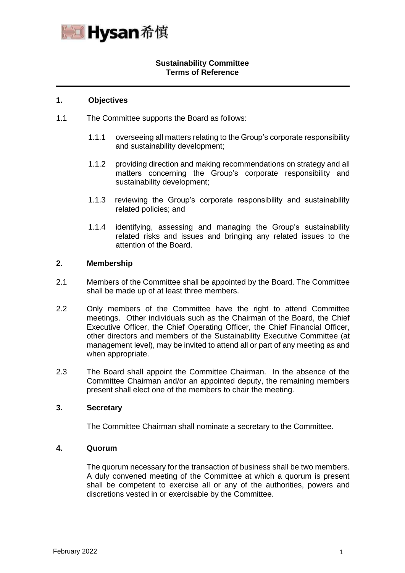

# **Sustainability Committee Terms of Reference**

### **1. Objectives**

- 1.1 The Committee supports the Board as follows:
	- 1.1.1 overseeing all matters relating to the Group's corporate responsibility and sustainability development;
	- 1.1.2 providing direction and making recommendations on strategy and all matters concerning the Group's corporate responsibility and sustainability development;
	- 1.1.3 reviewing the Group's corporate responsibility and sustainability related policies; and
	- 1.1.4 identifying, assessing and managing the Group's sustainability related risks and issues and bringing any related issues to the attention of the Board.

### **2. Membership**

- 2.1 Members of the Committee shall be appointed by the Board. The Committee shall be made up of at least three members.
- 2.2 Only members of the Committee have the right to attend Committee meetings. Other individuals such as the Chairman of the Board, the Chief Executive Officer, the Chief Operating Officer, the Chief Financial Officer, other directors and members of the Sustainability Executive Committee (at management level), may be invited to attend all or part of any meeting as and when appropriate.
- 2.3 The Board shall appoint the Committee Chairman. In the absence of the Committee Chairman and/or an appointed deputy, the remaining members present shall elect one of the members to chair the meeting.

# **3. Secretary**

The Committee Chairman shall nominate a secretary to the Committee.

# **4. Quorum**

The quorum necessary for the transaction of business shall be two members. A duly convened meeting of the Committee at which a quorum is present shall be competent to exercise all or any of the authorities, powers and discretions vested in or exercisable by the Committee.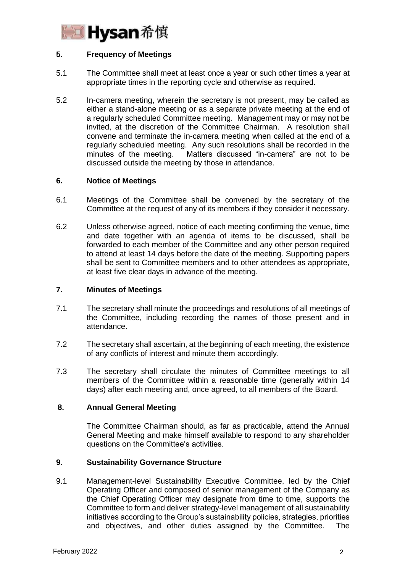

# **5. Frequency of Meetings**

- 5.1 The Committee shall meet at least once a year or such other times a year at appropriate times in the reporting cycle and otherwise as required.
- 5.2 In-camera meeting, wherein the secretary is not present, may be called as either a stand-alone meeting or as a separate private meeting at the end of a regularly scheduled Committee meeting. Management may or may not be invited, at the discretion of the Committee Chairman. A resolution shall convene and terminate the in-camera meeting when called at the end of a regularly scheduled meeting. Any such resolutions shall be recorded in the minutes of the meeting. Matters discussed "in-camera" are not to be discussed outside the meeting by those in attendance.

# **6. Notice of Meetings**

- 6.1 Meetings of the Committee shall be convened by the secretary of the Committee at the request of any of its members if they consider it necessary.
- 6.2 Unless otherwise agreed, notice of each meeting confirming the venue, time and date together with an agenda of items to be discussed, shall be forwarded to each member of the Committee and any other person required to attend at least 14 days before the date of the meeting. Supporting papers shall be sent to Committee members and to other attendees as appropriate, at least five clear days in advance of the meeting.

#### **7. Minutes of Meetings**

- 7.1 The secretary shall minute the proceedings and resolutions of all meetings of the Committee, including recording the names of those present and in attendance.
- 7.2 The secretary shall ascertain, at the beginning of each meeting, the existence of any conflicts of interest and minute them accordingly.
- 7.3 The secretary shall circulate the minutes of Committee meetings to all members of the Committee within a reasonable time (generally within 14 days) after each meeting and, once agreed, to all members of the Board.

# **8. Annual General Meeting**

The Committee Chairman should, as far as practicable, attend the Annual General Meeting and make himself available to respond to any shareholder questions on the Committee's activities.

# **9. Sustainability Governance Structure**

9.1 Management-level Sustainability Executive Committee, led by the Chief Operating Officer and composed of senior management of the Company as the Chief Operating Officer may designate from time to time, supports the Committee to form and deliver strategy-level management of all sustainability initiatives according to the Group's sustainability policies, strategies, priorities and objectives, and other duties assigned by the Committee. The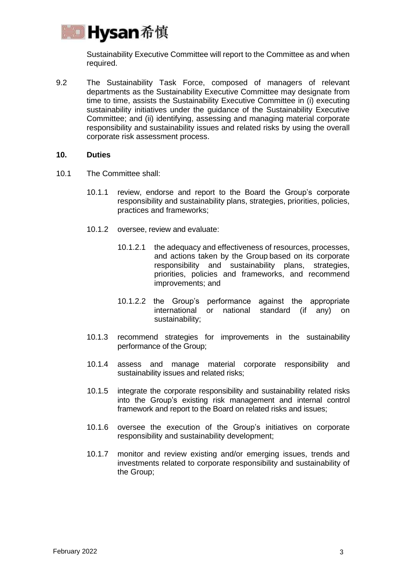

Sustainability Executive Committee will report to the Committee as and when required.

9.2 The Sustainability Task Force, composed of managers of relevant departments as the Sustainability Executive Committee may designate from time to time, assists the Sustainability Executive Committee in (i) executing sustainability initiatives under the guidance of the Sustainability Executive Committee; and (ii) identifying, assessing and managing material corporate responsibility and sustainability issues and related risks by using the overall corporate risk assessment process.

### **10. Duties**

- 10.1 The Committee shall:
	- 10.1.1 review, endorse and report to the Board the Group's corporate responsibility and sustainability plans, strategies, priorities, policies, practices and frameworks;
	- 10.1.2 oversee, review and evaluate:
		- 10.1.2.1 the adequacy and effectiveness of resources, processes, and actions taken by the Group based on its corporate responsibility and sustainability plans, strategies, priorities, policies and frameworks, and recommend improvements; and
		- 10.1.2.2 the Group's performance against the appropriate international or national standard (if any) on sustainability;
	- 10.1.3 recommend strategies for improvements in the sustainability performance of the Group;
	- 10.1.4 assess and manage material corporate responsibility and sustainability issues and related risks;
	- 10.1.5 integrate the corporate responsibility and sustainability related risks into the Group's existing risk management and internal control framework and report to the Board on related risks and issues;
	- 10.1.6 oversee the execution of the Group's initiatives on corporate responsibility and sustainability development;
	- 10.1.7 monitor and review existing and/or emerging issues, trends and investments related to corporate responsibility and sustainability of the Group;